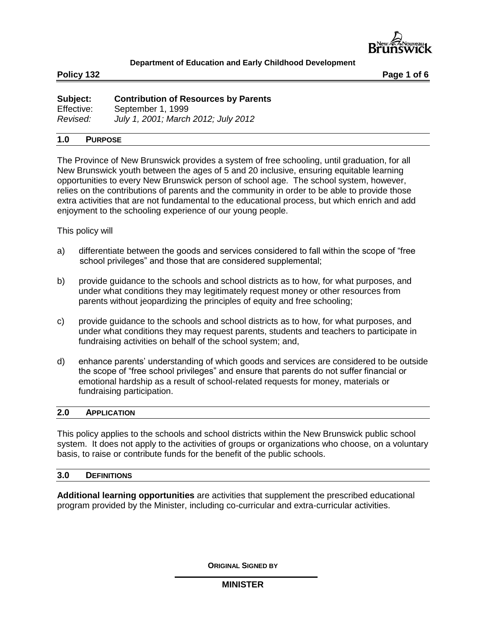

**Policy 132 Page 1 of 6**

| Subject:   | <b>Contribution of Resources by Parents</b> |
|------------|---------------------------------------------|
| Effective: | September 1, 1999                           |
| Revised:   | July 1, 2001; March 2012; July 2012         |

### **1.0 PURPOSE**

The Province of New Brunswick provides a system of free schooling, until graduation, for all New Brunswick youth between the ages of 5 and 20 inclusive, ensuring equitable learning opportunities to every New Brunswick person of school age. The school system, however, relies on the contributions of parents and the community in order to be able to provide those extra activities that are not fundamental to the educational process, but which enrich and add enjoyment to the schooling experience of our young people.

## This policy will

- a) differentiate between the goods and services considered to fall within the scope of "free school privileges" and those that are considered supplemental;
- b) provide guidance to the schools and school districts as to how, for what purposes, and under what conditions they may legitimately request money or other resources from parents without jeopardizing the principles of equity and free schooling;
- c) provide guidance to the schools and school districts as to how, for what purposes, and under what conditions they may request parents, students and teachers to participate in fundraising activities on behalf of the school system; and,
- d) enhance parents' understanding of which goods and services are considered to be outside the scope of "free school privileges" and ensure that parents do not suffer financial or emotional hardship as a result of school-related requests for money, materials or fundraising participation.

### **2.0 APPLICATION**

This policy applies to the schools and school districts within the New Brunswick public school system. It does not apply to the activities of groups or organizations who choose, on a voluntary basis, to raise or contribute funds for the benefit of the public schools.

## **3.0 DEFINITIONS**

**Additional learning opportunities** are activities that supplement the prescribed educational program provided by the Minister, including co-curricular and extra-curricular activities.

**ORIGINAL SIGNED BY**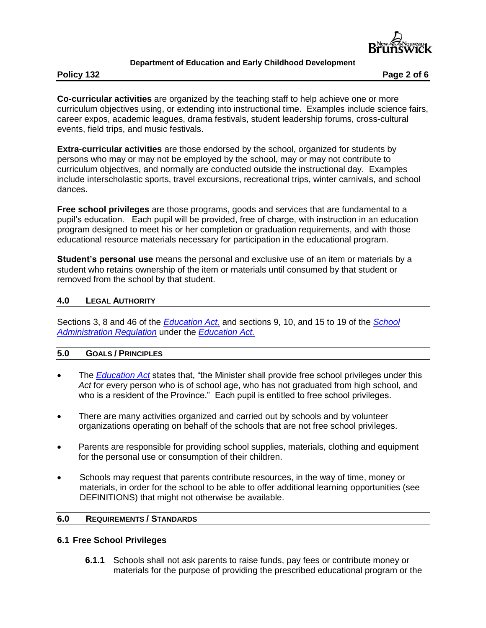

**Policy 132 Page 2 of 6**

**Co-curricular activities** are organized by the teaching staff to help achieve one or more curriculum objectives using, or extending into instructional time. Examples include science fairs, career expos, academic leagues, drama festivals, student leadership forums, cross-cultural events, field trips, and music festivals.

**Extra-curricular activities** are those endorsed by the school, organized for students by persons who may or may not be employed by the school, may or may not contribute to curriculum objectives, and normally are conducted outside the instructional day. Examples include interscholastic sports, travel excursions, recreational trips, winter carnivals, and school dances.

**Free school privileges** are those programs, goods and services that are fundamental to a pupil's education. Each pupil will be provided, free of charge, with instruction in an education program designed to meet his or her completion or graduation requirements, and with those educational resource materials necessary for participation in the educational program.

**Student's personal use** means the personal and exclusive use of an item or materials by a student who retains ownership of the item or materials until consumed by that student or removed from the school by that student.

## **4.0 LEGAL AUTHORITY**

Sections 3, 8 and 46 of the *[Education Act,](http://laws.gnb.ca/en/ShowPdf/cs/E-1.12.pdf)* and sections 9, 10, and 15 to 19 of the *[School](http://laws.gnb.ca/en/ShowPdf/cr/97-150.pdf)  [Administration Regulation](http://laws.gnb.ca/en/ShowPdf/cr/97-150.pdf)* under the *[Education Act.](http://laws.gnb.ca/en/ShowPdf/cs/E-1.12.pdf)*

## **5.0 GOALS / PRINCIPLES**

- The *[Education Act](http://laws.gnb.ca/en/ShowPdf/cs/E-1.12.pdf)* states that, "the Minister shall provide free school privileges under this *Act* for every person who is of school age, who has not graduated from high school, and who is a resident of the Province." Each pupil is entitled to free school privileges.
- There are many activities organized and carried out by schools and by volunteer organizations operating on behalf of the schools that are not free school privileges.
- Parents are responsible for providing school supplies, materials, clothing and equipment for the personal use or consumption of their children.
- Schools may request that parents contribute resources, in the way of time, money or materials, in order for the school to be able to offer additional learning opportunities (see DEFINITIONS) that might not otherwise be available.

## **6.0 REQUIREMENTS / STANDARDS**

## **6.1 Free School Privileges**

**6.1.1** Schools shall not ask parents to raise funds, pay fees or contribute money or materials for the purpose of providing the prescribed educational program or the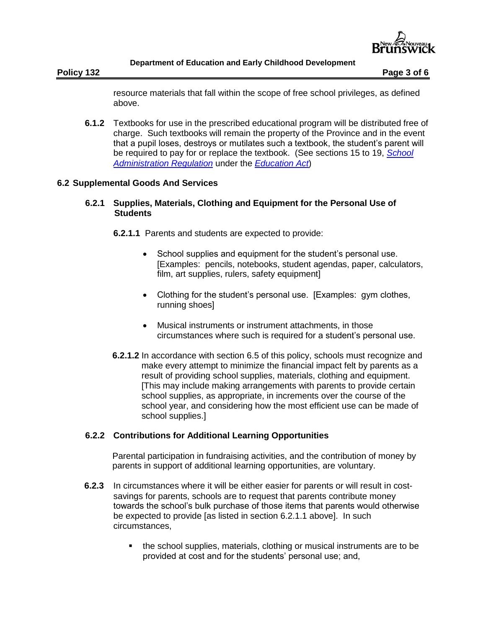

**Policy 132 Page 3 of 6** 

resource materials that fall within the scope of free school privileges, as defined above.

**6.1.2** Textbooks for use in the prescribed educational program will be distributed free of charge. Such textbooks will remain the property of the Province and in the event that a pupil loses, destroys or mutilates such a textbook, the student's parent will be required to pay for or replace the textbook. (See sections 15 to 19, *[School](http://laws.gnb.ca/en/ShowPdf/cr/97-150.pdf)  [Administration Regulation](http://laws.gnb.ca/en/ShowPdf/cr/97-150.pdf)* under the *[Education Act](http://laws.gnb.ca/en/ShowPdf/cs/E-1.12.pdf)*)

# **6.2 Supplemental Goods And Services**

# **6.2.1 Supplies, Materials, Clothing and Equipment for the Personal Use of Students**

**6.2.1.1** Parents and students are expected to provide:

- School supplies and equipment for the student's personal use. [Examples: pencils, notebooks, student agendas, paper, calculators, film, art supplies, rulers, safety equipment]
- Clothing for the student's personal use. [Examples: gym clothes, running shoes]
- Musical instruments or instrument attachments, in those circumstances where such is required for a student's personal use.
- **6.2.1.2** In accordance with section 6.5 of this policy, schools must recognize and make every attempt to minimize the financial impact felt by parents as a result of providing school supplies, materials, clothing and equipment. [This may include making arrangements with parents to provide certain school supplies, as appropriate, in increments over the course of the school year, and considering how the most efficient use can be made of school supplies.]

# **6.2.2 Contributions for Additional Learning Opportunities**

Parental participation in fundraising activities, and the contribution of money by parents in support of additional learning opportunities, are voluntary.

- **6.2.3** In circumstances where it will be either easier for parents or will result in costsavings for parents, schools are to request that parents contribute money towards the school's bulk purchase of those items that parents would otherwise be expected to provide [as listed in section 6.2.1.1 above]. In such circumstances,
	- the school supplies, materials, clothing or musical instruments are to be provided at cost and for the students' personal use; and,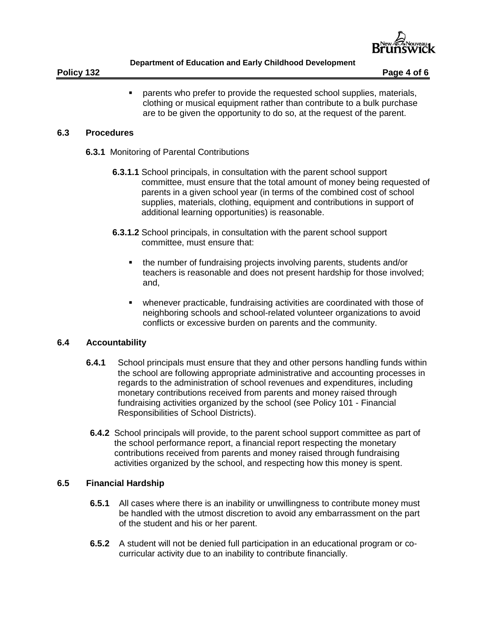

 parents who prefer to provide the requested school supplies, materials, clothing or musical equipment rather than contribute to a bulk purchase are to be given the opportunity to do so, at the request of the parent.

## **6.3 Procedures**

- **6.3.1** Monitoring of Parental Contributions
	- **6.3.1.1** School principals, in consultation with the parent school support committee, must ensure that the total amount of money being requested of parents in a given school year (in terms of the combined cost of school supplies, materials, clothing, equipment and contributions in support of additional learning opportunities) is reasonable.
	- **6.3.1.2** School principals, in consultation with the parent school support committee, must ensure that:
		- the number of fundraising projects involving parents, students and/or teachers is reasonable and does not present hardship for those involved; and,
		- whenever practicable, fundraising activities are coordinated with those of neighboring schools and school-related volunteer organizations to avoid conflicts or excessive burden on parents and the community.

## **6.4 Accountability**

- **6.4.1** School principals must ensure that they and other persons handling funds within the school are following appropriate administrative and accounting processes in regards to the administration of school revenues and expenditures, including monetary contributions received from parents and money raised through fundraising activities organized by the school (see Policy 101 - Financial Responsibilities of School Districts).
- **6.4.2** School principals will provide, to the parent school support committee as part of the school performance report, a financial report respecting the monetary contributions received from parents and money raised through fundraising activities organized by the school, and respecting how this money is spent.

## **6.5 Financial Hardship**

- **6.5.1** All cases where there is an inability or unwillingness to contribute money must be handled with the utmost discretion to avoid any embarrassment on the part of the student and his or her parent.
- **6.5.2** A student will not be denied full participation in an educational program or cocurricular activity due to an inability to contribute financially.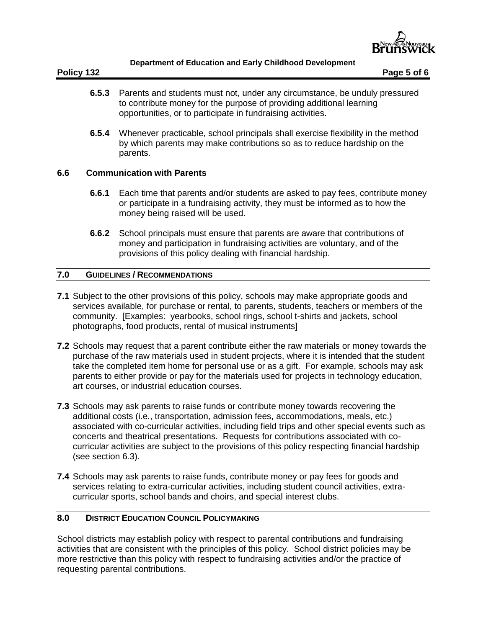

- **6.5.3** Parents and students must not, under any circumstance, be unduly pressured to contribute money for the purpose of providing additional learning opportunities, or to participate in fundraising activities.
- **6.5.4** Whenever practicable, school principals shall exercise flexibility in the method by which parents may make contributions so as to reduce hardship on the parents.

## **6.6 Communication with Parents**

- **6.6.1** Each time that parents and/or students are asked to pay fees, contribute money or participate in a fundraising activity, they must be informed as to how the money being raised will be used.
- **6.6.2** School principals must ensure that parents are aware that contributions of money and participation in fundraising activities are voluntary, and of the provisions of this policy dealing with financial hardship.

## **7.0 GUIDELINES / RECOMMENDATIONS**

- **7.1** Subject to the other provisions of this policy, schools may make appropriate goods and services available, for purchase or rental, to parents, students, teachers or members of the community. [Examples: yearbooks, school rings, school t-shirts and jackets, school photographs, food products, rental of musical instruments]
- **7.2** Schools may request that a parent contribute either the raw materials or money towards the purchase of the raw materials used in student projects, where it is intended that the student take the completed item home for personal use or as a gift. For example, schools may ask parents to either provide or pay for the materials used for projects in technology education, art courses, or industrial education courses.
- **7.3** Schools may ask parents to raise funds or contribute money towards recovering the additional costs (i.e., transportation, admission fees, accommodations, meals, etc.) associated with co-curricular activities, including field trips and other special events such as concerts and theatrical presentations. Requests for contributions associated with cocurricular activities are subject to the provisions of this policy respecting financial hardship (see section 6.3).
- **7.4** Schools may ask parents to raise funds, contribute money or pay fees for goods and services relating to extra-curricular activities, including student council activities, extracurricular sports, school bands and choirs, and special interest clubs.

## **8.0 DISTRICT EDUCATION COUNCIL POLICYMAKING**

School districts may establish policy with respect to parental contributions and fundraising activities that are consistent with the principles of this policy. School district policies may be more restrictive than this policy with respect to fundraising activities and/or the practice of requesting parental contributions.